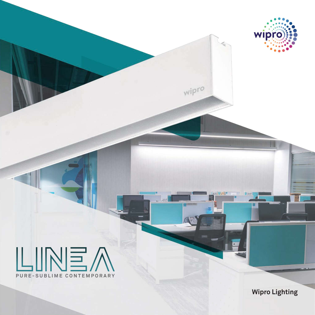

**Wipro Lighting**

wipro

wipro

 $\sim$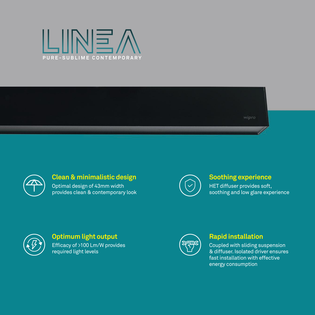





## **Clean & minimalistic design**

Optimal design of 43mm width provides clean & contemporary look



### **Soothing experience**

HET diffuser provides soft, soothing and low glare experience



## **Optimum light output**

Efficacy of >100 Lm/W provides required light levels



### **Rapid installation**

Coupled with sliding suspension & diffuser. Isolated driver ensures fast installation with effective energy consumption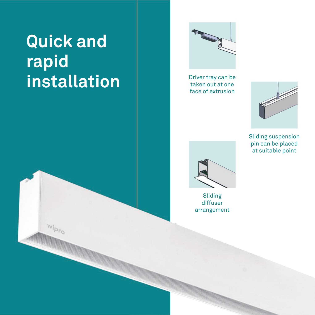# **Quick and rapid installation**

 $w_{i p_{r_Q}}$ 



Driver tray can be taken out at one face of extrusion



Sliding suspension pin can be placed at suitable point



Sliding diffuser arrangement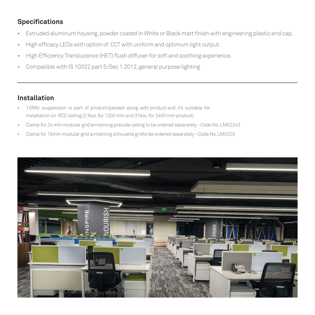# **Specifications**

- Extruded aluminum housing, powder coated in White or Black matt finish with engineering plastic end cap.
- High efficacy LEDs with option of CCT with uniform and optimum light output.
- High Efficiency Translucence (HET) flush diffuser for soft and soothing experience.
- Compatible with IS 10322 part 5/Sec 1 2012, general purpose lighting

# **Installation**

- 1.0Mtr. suspension is part of product/packed along with product and it's suitable for installation on RCC ceiling (2 Nos. for 1200 mm and 3 Nos. for 2400 mm product)
- Clamp for 24 mm modular grid armstrong prelude ceiling to be ordered separately –Code No. LMX2243
- Clamp for 15mm modular grid armstrong silhouette gridto be ordered separately –Code No. LMX225

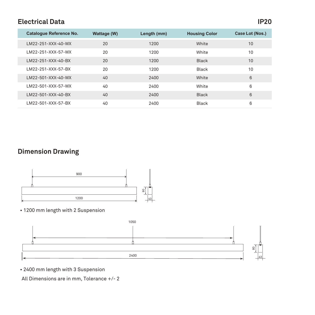# **Electrical Data IP20**

| Catalogue Reference No. | Wattage (W) | Length (mm) | <b>Housing Color</b> | Case Lot (Nos.) |
|-------------------------|-------------|-------------|----------------------|-----------------|
| LM22-251-XXX-40-WX      | 20          | 1200        | White                | 10              |
| LM22-251-XXX-57-WX      | 20          | 1200        | White                | 10              |
| I M22-251-XXX-40-BX     | 20          | 1200        | <b>Black</b>         | 10              |
| IM22-251-XXX-57-BX      | 20          | 1200        | <b>Black</b>         | 10              |
| LM22-501-XXX-40-WX      | 40          | 2400        | White                | 6               |
| LM22-501-XXX-57-WX      | 40          | 2400        | White                | 6               |
| IM22-501-XXX-40-BX      | 40          | 2400        | <b>Black</b>         | 6               |
| LM22-501-XXX-57-BX      | 40          | 2400        | <b>Black</b>         | 6               |

# **Dimension Drawing**



#### • 1200 mm length with 2 Suspension



• 2400 mm length with 3 Suspension

All Dimensions are in mm, Tolerance +/- 2